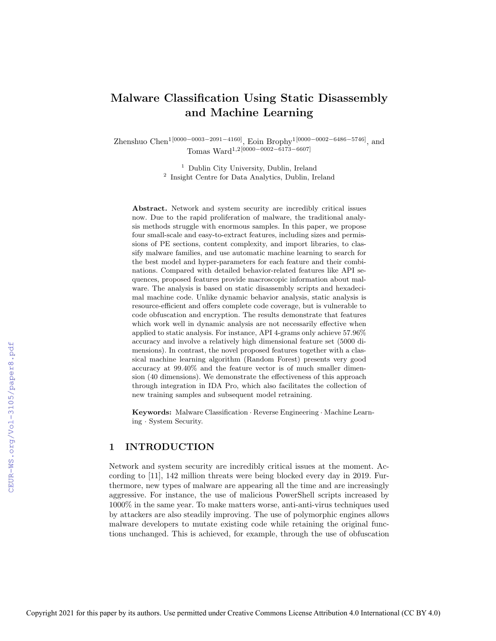# Malware Classification Using Static Disassembly and Machine Learning

Zhenshuo Chen1[0000−0003−2091−4160], Eoin Brophy1[0000−0002−6486−5746], and Tomas Ward1,2[0000−0002−6173−6607]

> <sup>1</sup> Dublin City University, Dublin, Ireland 2 Insight Centre for Data Analytics, Dublin, Ireland

Abstract. Network and system security are incredibly critical issues now. Due to the rapid proliferation of malware, the traditional analysis methods struggle with enormous samples. In this paper, we propose four small-scale and easy-to-extract features, including sizes and permissions of PE sections, content complexity, and import libraries, to classify malware families, and use automatic machine learning to search for the best model and hyper-parameters for each feature and their combinations. Compared with detailed behavior-related features like API sequences, proposed features provide macroscopic information about malware. The analysis is based on static disassembly scripts and hexadecimal machine code. Unlike dynamic behavior analysis, static analysis is resource-efficient and offers complete code coverage, but is vulnerable to code obfuscation and encryption. The results demonstrate that features which work well in dynamic analysis are not necessarily effective when applied to static analysis. For instance, API 4-grams only achieve 57.96% accuracy and involve a relatively high dimensional feature set (5000 dimensions). In contrast, the novel proposed features together with a classical machine learning algorithm (Random Forest) presents very good accuracy at 99.40% and the feature vector is of much smaller dimension (40 dimensions). We demonstrate the effectiveness of this approach through integration in IDA Pro, which also facilitates the collection of new training samples and subsequent model retraining.

Keywords: Malware Classification · Reverse Engineering · Machine Learning · System Security.

# 1 INTRODUCTION

Network and system security are incredibly critical issues at the moment. According to [11], 142 million threats were being blocked every day in 2019. Furthermore, new types of malware are appearing all the time and are increasingly aggressive. For instance, the use of malicious PowerShell scripts increased by 1000% in the same year. To make matters worse, anti-anti-virus techniques used by attackers are also steadily improving. The use of polymorphic engines allows malware developers to mutate existing code while retaining the original functions unchanged. This is achieved, for example, through the use of obfuscation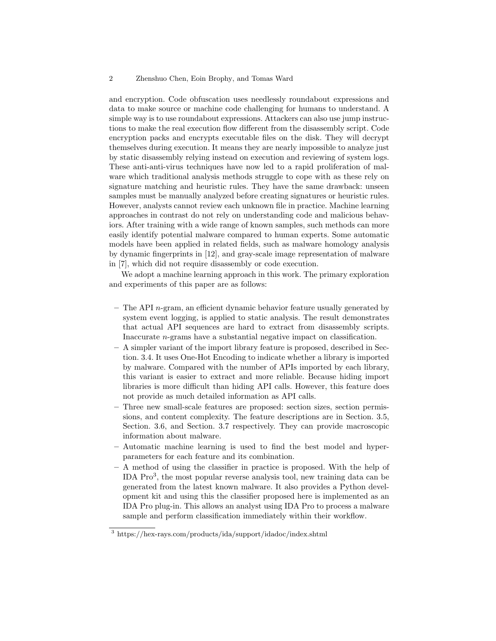and encryption. Code obfuscation uses needlessly roundabout expressions and data to make source or machine code challenging for humans to understand. A simple way is to use roundabout expressions. Attackers can also use jump instructions to make the real execution flow different from the disassembly script. Code encryption packs and encrypts executable files on the disk. They will decrypt themselves during execution. It means they are nearly impossible to analyze just by static disassembly relying instead on execution and reviewing of system logs. These anti-anti-virus techniques have now led to a rapid proliferation of malware which traditional analysis methods struggle to cope with as these rely on signature matching and heuristic rules. They have the same drawback: unseen samples must be manually analyzed before creating signatures or heuristic rules. However, analysts cannot review each unknown file in practice. Machine learning approaches in contrast do not rely on understanding code and malicious behaviors. After training with a wide range of known samples, such methods can more easily identify potential malware compared to human experts. Some automatic models have been applied in related fields, such as malware homology analysis by dynamic fingerprints in [12], and gray-scale image representation of malware in [7], which did not require disassembly or code execution.

We adopt a machine learning approach in this work. The primary exploration and experiments of this paper are as follows:

- $-$  The API n-gram, an efficient dynamic behavior feature usually generated by system event logging, is applied to static analysis. The result demonstrates that actual API sequences are hard to extract from disassembly scripts. Inaccurate n-grams have a substantial negative impact on classification.
- A simpler variant of the import library feature is proposed, described in Section. 3.4. It uses One-Hot Encoding to indicate whether a library is imported by malware. Compared with the number of APIs imported by each library, this variant is easier to extract and more reliable. Because hiding import libraries is more difficult than hiding API calls. However, this feature does not provide as much detailed information as API calls.
- Three new small-scale features are proposed: section sizes, section permissions, and content complexity. The feature descriptions are in Section. 3.5, Section. 3.6, and Section. 3.7 respectively. They can provide macroscopic information about malware.
- Automatic machine learning is used to find the best model and hyperparameters for each feature and its combination.
- A method of using the classifier in practice is proposed. With the help of IDA Pro<sup>3</sup> , the most popular reverse analysis tool, new training data can be generated from the latest known malware. It also provides a Python development kit and using this the classifier proposed here is implemented as an IDA Pro plug-in. This allows an analyst using IDA Pro to process a malware sample and perform classification immediately within their workflow.

<sup>3</sup> https://hex-rays.com/products/ida/support/idadoc/index.shtml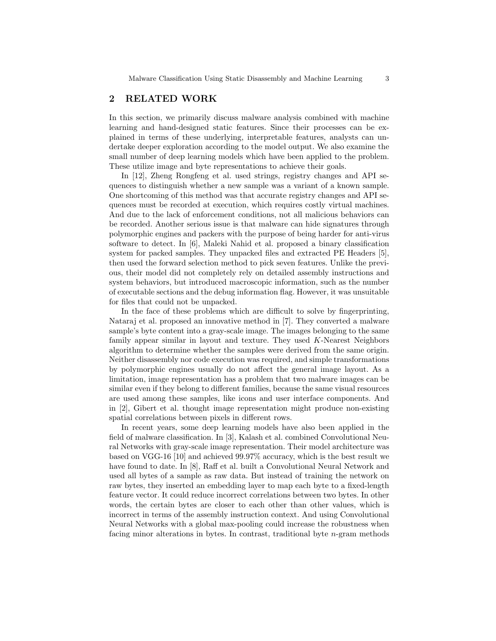# 2 RELATED WORK

In this section, we primarily discuss malware analysis combined with machine learning and hand-designed static features. Since their processes can be explained in terms of these underlying, interpretable features, analysts can undertake deeper exploration according to the model output. We also examine the small number of deep learning models which have been applied to the problem. These utilize image and byte representations to achieve their goals.

In [12], Zheng Rongfeng et al. used strings, registry changes and API sequences to distinguish whether a new sample was a variant of a known sample. One shortcoming of this method was that accurate registry changes and API sequences must be recorded at execution, which requires costly virtual machines. And due to the lack of enforcement conditions, not all malicious behaviors can be recorded. Another serious issue is that malware can hide signatures through polymorphic engines and packers with the purpose of being harder for anti-virus software to detect. In [6], Maleki Nahid et al. proposed a binary classification system for packed samples. They unpacked files and extracted PE Headers [5], then used the forward selection method to pick seven features. Unlike the previous, their model did not completely rely on detailed assembly instructions and system behaviors, but introduced macroscopic information, such as the number of executable sections and the debug information flag. However, it was unsuitable for files that could not be unpacked.

In the face of these problems which are difficult to solve by fingerprinting, Nataraj et al. proposed an innovative method in [7]. They converted a malware sample's byte content into a gray-scale image. The images belonging to the same family appear similar in layout and texture. They used K-Nearest Neighbors algorithm to determine whether the samples were derived from the same origin. Neither disassembly nor code execution was required, and simple transformations by polymorphic engines usually do not affect the general image layout. As a limitation, image representation has a problem that two malware images can be similar even if they belong to different families, because the same visual resources are used among these samples, like icons and user interface components. And in [2], Gibert et al. thought image representation might produce non-existing spatial correlations between pixels in different rows.

In recent years, some deep learning models have also been applied in the field of malware classification. In [3], Kalash et al. combined Convolutional Neural Networks with gray-scale image representation. Their model architecture was based on VGG-16 [10] and achieved 99.97% accuracy, which is the best result we have found to date. In [8], Raff et al. built a Convolutional Neural Network and used all bytes of a sample as raw data. But instead of training the network on raw bytes, they inserted an embedding layer to map each byte to a fixed-length feature vector. It could reduce incorrect correlations between two bytes. In other words, the certain bytes are closer to each other than other values, which is incorrect in terms of the assembly instruction context. And using Convolutional Neural Networks with a global max-pooling could increase the robustness when facing minor alterations in bytes. In contrast, traditional byte  $n$ -gram methods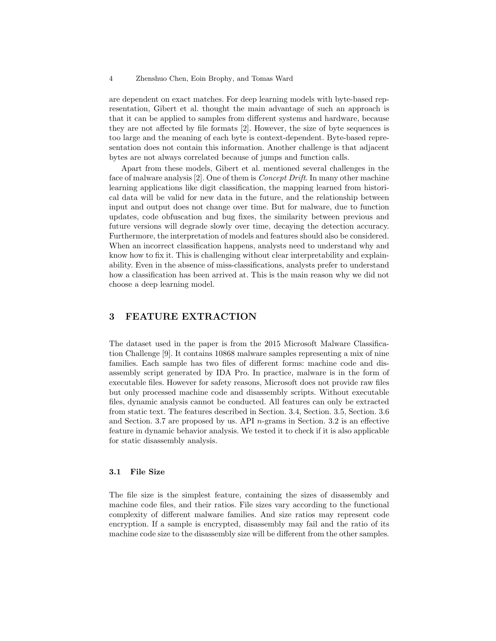are dependent on exact matches. For deep learning models with byte-based representation, Gibert et al. thought the main advantage of such an approach is that it can be applied to samples from different systems and hardware, because they are not affected by file formats [2]. However, the size of byte sequences is too large and the meaning of each byte is context-dependent. Byte-based representation does not contain this information. Another challenge is that adjacent bytes are not always correlated because of jumps and function calls.

Apart from these models, Gibert et al. mentioned several challenges in the face of malware analysis [2]. One of them is *Concept Drift*. In many other machine learning applications like digit classification, the mapping learned from historical data will be valid for new data in the future, and the relationship between input and output does not change over time. But for malware, due to function updates, code obfuscation and bug fixes, the similarity between previous and future versions will degrade slowly over time, decaying the detection accuracy. Furthermore, the interpretation of models and features should also be considered. When an incorrect classification happens, analysts need to understand why and know how to fix it. This is challenging without clear interpretability and explainability. Even in the absence of miss-classifications, analysts prefer to understand how a classification has been arrived at. This is the main reason why we did not choose a deep learning model.

# 3 FEATURE EXTRACTION

The dataset used in the paper is from the 2015 Microsoft Malware Classification Challenge [9]. It contains 10868 malware samples representing a mix of nine families. Each sample has two files of different forms: machine code and disassembly script generated by IDA Pro. In practice, malware is in the form of executable files. However for safety reasons, Microsoft does not provide raw files but only processed machine code and disassembly scripts. Without executable files, dynamic analysis cannot be conducted. All features can only be extracted from static text. The features described in Section. 3.4, Section. 3.5, Section. 3.6 and Section. 3.7 are proposed by us. API n-grams in Section. 3.2 is an effective feature in dynamic behavior analysis. We tested it to check if it is also applicable for static disassembly analysis.

### 3.1 File Size

The file size is the simplest feature, containing the sizes of disassembly and machine code files, and their ratios. File sizes vary according to the functional complexity of different malware families. And size ratios may represent code encryption. If a sample is encrypted, disassembly may fail and the ratio of its machine code size to the disassembly size will be different from the other samples.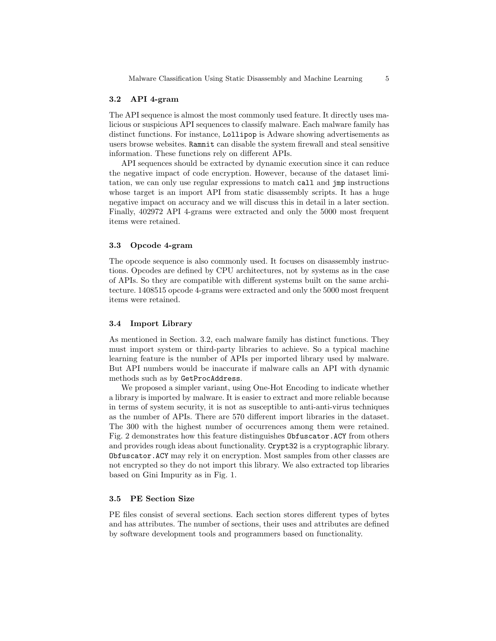#### 3.2 API 4-gram

The API sequence is almost the most commonly used feature. It directly uses malicious or suspicious API sequences to classify malware. Each malware family has distinct functions. For instance, Lollipop is Adware showing advertisements as users browse websites. Ramnit can disable the system firewall and steal sensitive information. These functions rely on different APIs.

API sequences should be extracted by dynamic execution since it can reduce the negative impact of code encryption. However, because of the dataset limitation, we can only use regular expressions to match call and jmp instructions whose target is an import API from static disassembly scripts. It has a huge negative impact on accuracy and we will discuss this in detail in a later section. Finally, 402972 API 4-grams were extracted and only the 5000 most frequent items were retained.

#### 3.3 Opcode 4-gram

The opcode sequence is also commonly used. It focuses on disassembly instructions. Opcodes are defined by CPU architectures, not by systems as in the case of APIs. So they are compatible with different systems built on the same architecture. 1408515 opcode 4-grams were extracted and only the 5000 most frequent items were retained.

# 3.4 Import Library

As mentioned in Section. 3.2, each malware family has distinct functions. They must import system or third-party libraries to achieve. So a typical machine learning feature is the number of APIs per imported library used by malware. But API numbers would be inaccurate if malware calls an API with dynamic methods such as by GetProcAddress.

We proposed a simpler variant, using One-Hot Encoding to indicate whether a library is imported by malware. It is easier to extract and more reliable because in terms of system security, it is not as susceptible to anti-anti-virus techniques as the number of APIs. There are 570 different import libraries in the dataset. The 300 with the highest number of occurrences among them were retained. Fig. 2 demonstrates how this feature distinguishes Obfuscator.ACY from others and provides rough ideas about functionality. Crypt32 is a cryptographic library. Obfuscator.ACY may rely it on encryption. Most samples from other classes are not encrypted so they do not import this library. We also extracted top libraries based on Gini Impurity as in Fig. 1.

### 3.5 PE Section Size

PE files consist of several sections. Each section stores different types of bytes and has attributes. The number of sections, their uses and attributes are defined by software development tools and programmers based on functionality.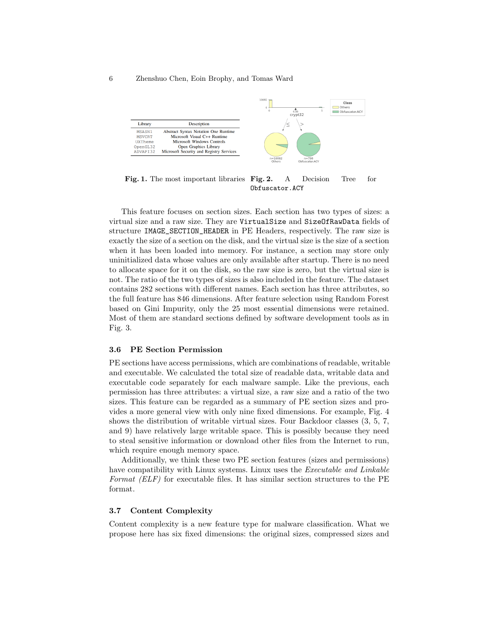#### 6 Zhenshuo Chen, Eoin Brophy, and Tomas Ward



Fig. 1. The most important libraries Fig. 2. A Decision Tree for Obfuscator.ACY

This feature focuses on section sizes. Each section has two types of sizes: a virtual size and a raw size. They are VirtualSize and SizeOfRawData fields of structure IMAGE\_SECTION\_HEADER in PE Headers, respectively. The raw size is exactly the size of a section on the disk, and the virtual size is the size of a section when it has been loaded into memory. For instance, a section may store only uninitialized data whose values are only available after startup. There is no need to allocate space for it on the disk, so the raw size is zero, but the virtual size is not. The ratio of the two types of sizes is also included in the feature. The dataset contains 282 sections with different names. Each section has three attributes, so the full feature has 846 dimensions. After feature selection using Random Forest based on Gini Impurity, only the 25 most essential dimensions were retained. Most of them are standard sections defined by software development tools as in Fig. 3.

#### 3.6 PE Section Permission

PE sections have access permissions, which are combinations of readable, writable and executable. We calculated the total size of readable data, writable data and executable code separately for each malware sample. Like the previous, each permission has three attributes: a virtual size, a raw size and a ratio of the two sizes. This feature can be regarded as a summary of PE section sizes and provides a more general view with only nine fixed dimensions. For example, Fig. 4 shows the distribution of writable virtual sizes. Four Backdoor classes (3, 5, 7, and 9) have relatively large writable space. This is possibly because they need to steal sensitive information or download other files from the Internet to run, which require enough memory space.

Additionally, we think these two PE section features (sizes and permissions) have compatibility with Linux systems. Linux uses the *Executable and Linkable* Format (ELF) for executable files. It has similar section structures to the PE format.

### 3.7 Content Complexity

Content complexity is a new feature type for malware classification. What we propose here has six fixed dimensions: the original sizes, compressed sizes and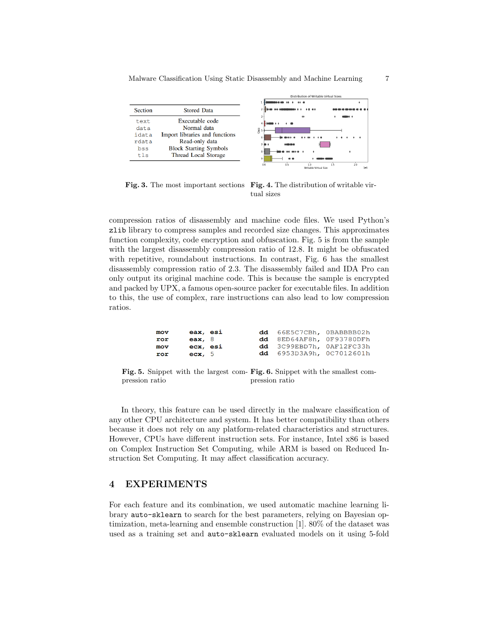Malware Classification Using Static Disassembly and Machine Learning 7



Fig. 3. The most important sections Fig. 4. The distribution of writable virtual sizes

compression ratios of disassembly and machine code files. We used Python's zlib library to compress samples and recorded size changes. This approximates function complexity, code encryption and obfuscation. Fig. 5 is from the sample with the largest disassembly compression ratio of 12.8. It might be obfuscated with repetitive, roundabout instructions. In contrast, Fig. 6 has the smallest disassembly compression ratio of 2.3. The disassembly failed and IDA Pro can only output its original machine code. This is because the sample is encrypted and packed by UPX, a famous open-source packer for executable files. In addition to this, the use of complex, rare instructions can also lead to low compression ratios.

| mov | eax, esi  |  | dd 66E5C7CBh, 0BABBBB02h        |  |
|-----|-----------|--|---------------------------------|--|
| ror | eax, $8$  |  | dd 8ED64AF8h, 0F93780DFh        |  |
| mov | ecx, esi  |  | dd 3C99EBD7h, 0AF12FC33h        |  |
| ror | $exc$ , 5 |  | <b>dd</b> 6953D3A9h, 0C7012601h |  |

Fig. 5. Snippet with the largest com-Fig. 6. Snippet with the smallest compression ratio pression ratio

In theory, this feature can be used directly in the malware classification of any other CPU architecture and system. It has better compatibility than others because it does not rely on any platform-related characteristics and structures. However, CPUs have different instruction sets. For instance, Intel x86 is based on Complex Instruction Set Computing, while ARM is based on Reduced Instruction Set Computing. It may affect classification accuracy.

# 4 EXPERIMENTS

For each feature and its combination, we used automatic machine learning library auto-sklearn to search for the best parameters, relying on Bayesian optimization, meta-learning and ensemble construction [1]. 80% of the dataset was used as a training set and auto-sklearn evaluated models on it using 5-fold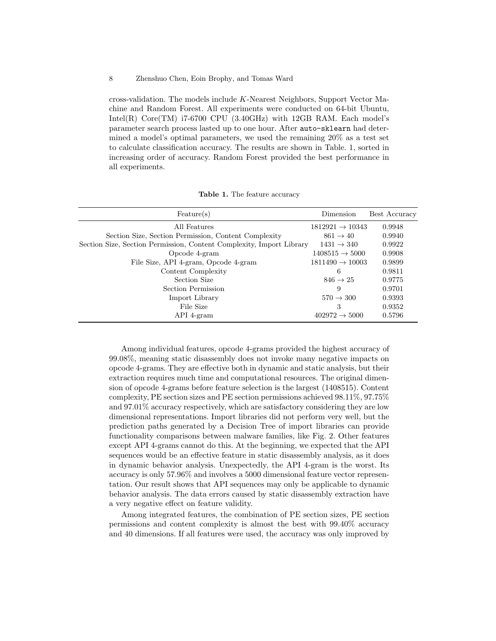#### 8 Zhenshuo Chen, Eoin Brophy, and Tomas Ward

cross-validation. The models include K-Nearest Neighbors, Support Vector Machine and Random Forest. All experiments were conducted on 64-bit Ubuntu, Intel(R) Core(TM) i7-6700 CPU (3.40GHz) with 12GB RAM. Each model's parameter search process lasted up to one hour. After auto-sklearn had determined a model's optimal parameters, we used the remaining 20% as a test set to calculate classification accuracy. The results are shown in Table. 1, sorted in increasing order of accuracy. Random Forest provided the best performance in all experiments.

| Feature(s)                                                           | Dimension                   | Best Accuracy |
|----------------------------------------------------------------------|-----------------------------|---------------|
| All Features                                                         | $1812921 \rightarrow 10343$ | 0.9948        |
| Section Size, Section Permission, Content Complexity                 | $861 \rightarrow 40$        | 0.9940        |
| Section Size, Section Permission, Content Complexity, Import Library | $1431 \rightarrow 340$      | 0.9922        |
| Opcode 4-gram                                                        | $1408515 \rightarrow 5000$  | 0.9908        |
| File Size, API 4-gram, Opcode 4-gram                                 | $1811490 \rightarrow 10003$ | 0.9899        |
| Content Complexity                                                   | 6                           | 0.9811        |
| Section Size                                                         | $846 \rightarrow 25$        | 0.9775        |
| Section Permission                                                   | 9                           | 0.9701        |
| Import Library                                                       | $570 \rightarrow 300$       | 0.9393        |
| File Size                                                            | 3                           | 0.9352        |
| API 4-gram                                                           | $402972 \rightarrow 5000$   | 0.5796        |

Table 1. The feature accuracy

Among individual features, opcode 4-grams provided the highest accuracy of 99.08%, meaning static disassembly does not invoke many negative impacts on opcode 4-grams. They are effective both in dynamic and static analysis, but their extraction requires much time and computational resources. The original dimension of opcode 4-grams before feature selection is the largest (1408515). Content complexity, PE section sizes and PE section permissions achieved 98.11%, 97.75% and 97.01% accuracy respectively, which are satisfactory considering they are low dimensional representations. Import libraries did not perform very well, but the prediction paths generated by a Decision Tree of import libraries can provide functionality comparisons between malware families, like Fig. 2. Other features except API 4-grams cannot do this. At the beginning, we expected that the API sequences would be an effective feature in static disassembly analysis, as it does in dynamic behavior analysis. Unexpectedly, the API 4-gram is the worst. Its accuracy is only 57.96% and involves a 5000 dimensional feature vector representation. Our result shows that API sequences may only be applicable to dynamic behavior analysis. The data errors caused by static disassembly extraction have a very negative effect on feature validity.

Among integrated features, the combination of PE section sizes, PE section permissions and content complexity is almost the best with 99.40% accuracy and 40 dimensions. If all features were used, the accuracy was only improved by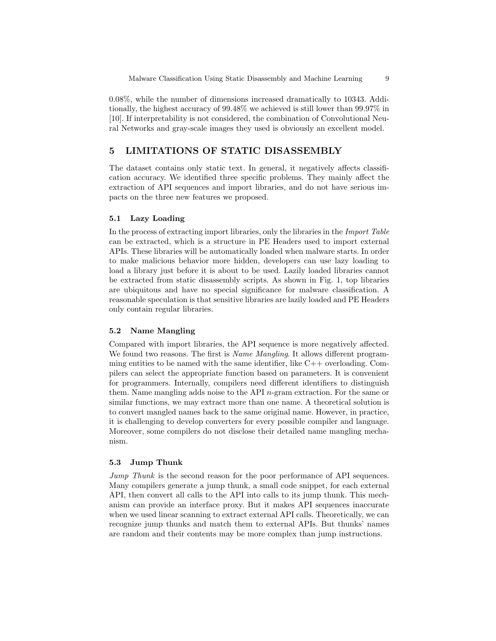0.08%, while the number of dimensions increased dramatically to 10343. Additionally, the highest accuracy of 99.48% we achieved is still lower than 99.97% in [10]. If interpretability is not considered, the combination of Convolutional Neural Networks and gray-scale images they used is obviously an excellent model.

# 5 LIMITATIONS OF STATIC DISASSEMBLY

The dataset contains only static text. In general, it negatively affects classification accuracy. We identified three specific problems. They mainly affect the extraction of API sequences and import libraries, and do not have serious impacts on the three new features we proposed.

## 5.1 Lazy Loading

In the process of extracting import libraries, only the libraries in the Import Table can be extracted, which is a structure in PE Headers used to import external APIs. These libraries will be automatically loaded when malware starts. In order to make malicious behavior more hidden, developers can use lazy loading to load a library just before it is about to be used. Lazily loaded libraries cannot be extracted from static disassembly scripts. As shown in Fig. 1, top libraries are ubiquitous and have no special significance for malware classification. A reasonable speculation is that sensitive libraries are lazily loaded and PE Headers only contain regular libraries.

#### 5.2 Name Mangling

Compared with import libraries, the API sequence is more negatively affected. We found two reasons. The first is *Name Mangling*. It allows different programming entities to be named with the same identifier, like  $C++$  overloading. Compilers can select the appropriate function based on parameters. It is convenient for programmers. Internally, compilers need different identifiers to distinguish them. Name mangling adds noise to the API n-gram extraction. For the same or similar functions, we may extract more than one name. A theoretical solution is to convert mangled names back to the same original name. However, in practice, it is challenging to develop converters for every possible compiler and language. Moreover, some compilers do not disclose their detailed name mangling mechanism.

### 5.3 Jump Thunk

Jump Thunk is the second reason for the poor performance of API sequences. Many compilers generate a jump thunk, a small code snippet, for each external API, then convert all calls to the API into calls to its jump thunk. This mechanism can provide an interface proxy. But it makes API sequences inaccurate when we used linear scanning to extract external API calls. Theoretically, we can recognize jump thunks and match them to external APIs. But thunks' names are random and their contents may be more complex than jump instructions.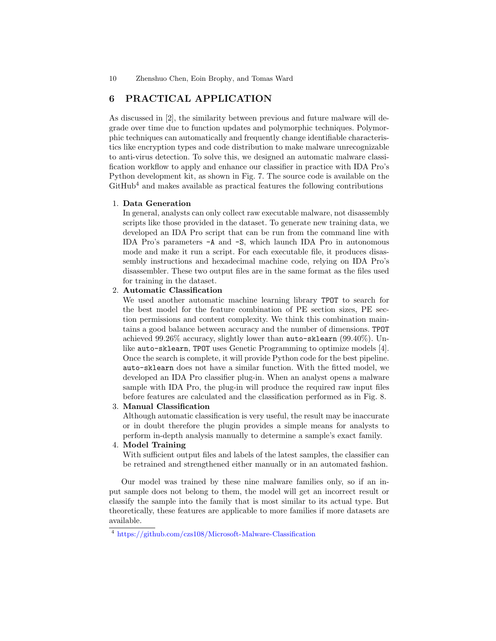# 6 PRACTICAL APPLICATION

As discussed in [2], the similarity between previous and future malware will degrade over time due to function updates and polymorphic techniques. Polymorphic techniques can automatically and frequently change identifiable characteristics like encryption types and code distribution to make malware unrecognizable to anti-virus detection. To solve this, we designed an automatic malware classification workflow to apply and enhance our classifier in practice with IDA Pro's Python development kit, as shown in Fig. 7. The source code is available on the  $G$ itHub<sup>4</sup> and makes available as practical features the following contributions

### 1. Data Generation

In general, analysts can only collect raw executable malware, not disassembly scripts like those provided in the dataset. To generate new training data, we developed an IDA Pro script that can be run from the command line with IDA Pro's parameters -A and -S, which launch IDA Pro in autonomous mode and make it run a script. For each executable file, it produces disassembly instructions and hexadecimal machine code, relying on IDA Pro's disassembler. These two output files are in the same format as the files used for training in the dataset.

### 2. Automatic Classification

We used another automatic machine learning library TPOT to search for the best model for the feature combination of PE section sizes, PE section permissions and content complexity. We think this combination maintains a good balance between accuracy and the number of dimensions. TPOT achieved 99.26% accuracy, slightly lower than auto-sklearn (99.40%). Unlike auto-sklearn, TPOT uses Genetic Programming to optimize models [4]. Once the search is complete, it will provide Python code for the best pipeline. auto-sklearn does not have a similar function. With the fitted model, we developed an IDA Pro classifier plug-in. When an analyst opens a malware sample with IDA Pro, the plug-in will produce the required raw input files before features are calculated and the classification performed as in Fig. 8.

#### 3. Manual Classification

Although automatic classification is very useful, the result may be inaccurate or in doubt therefore the plugin provides a simple means for analysts to perform in-depth analysis manually to determine a sample's exact family.

## 4. Model Training

With sufficient output files and labels of the latest samples, the classifier can be retrained and strengthened either manually or in an automated fashion.

Our model was trained by these nine malware families only, so if an input sample does not belong to them, the model will get an incorrect result or classify the sample into the family that is most similar to its actual type. But theoretically, these features are applicable to more families if more datasets are available.

<sup>4</sup> https://github.com/czs108/Microsoft-Malware-Classification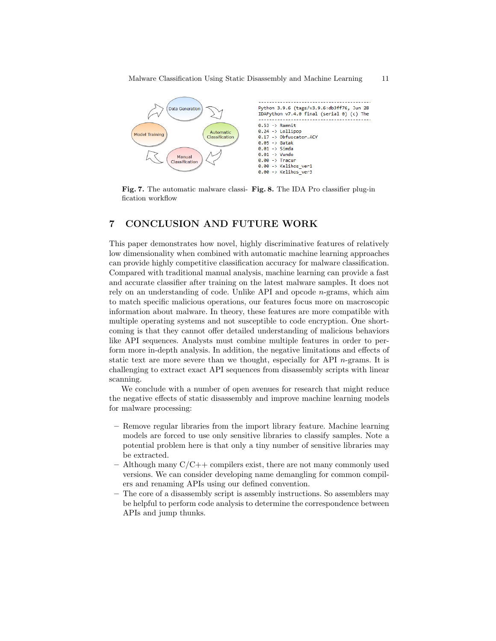

Fig. 7. The automatic malware classi- Fig. 8. The IDA Pro classifier plug-in fication workflow

# 7 CONCLUSION AND FUTURE WORK

This paper demonstrates how novel, highly discriminative features of relatively low dimensionality when combined with automatic machine learning approaches can provide highly competitive classification accuracy for malware classification. Compared with traditional manual analysis, machine learning can provide a fast and accurate classifier after training on the latest malware samples. It does not rely on an understanding of code. Unlike API and opcode n-grams, which aim to match specific malicious operations, our features focus more on macroscopic information about malware. In theory, these features are more compatible with multiple operating systems and not susceptible to code encryption. One shortcoming is that they cannot offer detailed understanding of malicious behaviors like API sequences. Analysts must combine multiple features in order to perform more in-depth analysis. In addition, the negative limitations and effects of static text are more severe than we thought, especially for API  $n$ -grams. It is challenging to extract exact API sequences from disassembly scripts with linear scanning.

We conclude with a number of open avenues for research that might reduce the negative effects of static disassembly and improve machine learning models for malware processing:

- Remove regular libraries from the import library feature. Machine learning models are forced to use only sensitive libraries to classify samples. Note a potential problem here is that only a tiny number of sensitive libraries may be extracted.
- $-$  Although many  $C/C++$  compilers exist, there are not many commonly used versions. We can consider developing name demangling for common compilers and renaming APIs using our defined convention.
- The core of a disassembly script is assembly instructions. So assemblers may be helpful to perform code analysis to determine the correspondence between APIs and jump thunks.